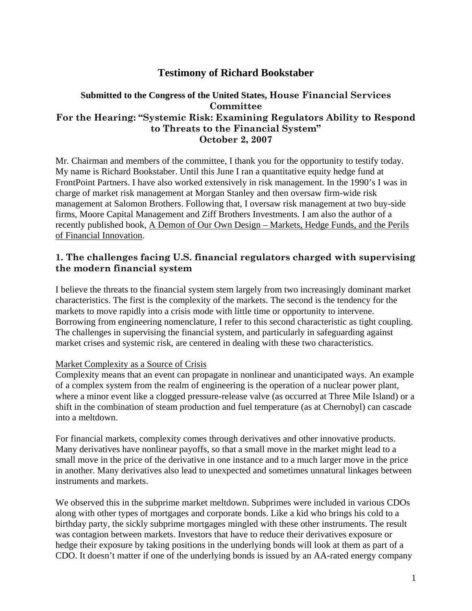# **Testimony of Richard Bookstaber**

## **Submitted to the Congress of the United States, House Financial Services Committee For the Hearing: "Systemic Risk: Examining Regulators Ability to Respond to Threats to the Financial System" October 2, 2007**

Mr. Chairman and members of the committee, I thank you for the opportunity to testify today. My name is Richard Bookstaber. Until this June I ran a quantitative equity hedge fund at FrontPoint Partners. I have also worked extensively in risk management. In the 1990's I was in charge of market risk management at Morgan Stanley and then oversaw firm-wide risk management at Salomon Brothers. Following that, I oversaw risk management at two buy-side firms, Moore Capital Management and Ziff Brothers Investments. I am also the author of a recently published book, A Demon of Our Own Design – Markets, Hedge Funds, and the Perils of Financial Innovation.

## **1. The challenges facing U.S. financial regulators charged with supervising the modern financial system**

I believe the threats to the financial system stem largely from two increasingly dominant market characteristics. The first is the complexity of the markets. The second is the tendency for the markets to move rapidly into a crisis mode with little time or opportunity to intervene. Borrowing from engineering nomenclature, I refer to this second characteristic as tight coupling. The challenges in supervising the financial system, and particularly in safeguarding against market crises and systemic risk, are centered in dealing with these two characteristics.

#### Market Complexity as a Source of Crisis

Complexity means that an event can propagate in nonlinear and unanticipated ways. An example of a complex system from the realm of engineering is the operation of a nuclear power plant, where a minor event like a clogged pressure-release valve (as occurred at Three Mile Island) or a shift in the combination of steam production and fuel temperature (as at Chernobyl) can cascade into a meltdown.

For financial markets, complexity comes through derivatives and other innovative products. Many derivatives have nonlinear payoffs, so that a small move in the market might lead to a small move in the price of the derivative in one instance and to a much larger move in the price in another. Many derivatives also lead to unexpected and sometimes unnatural linkages between instruments and markets.

We observed this in the subprime market meltdown. Subprimes were included in various CDOs along with other types of mortgages and corporate bonds. Like a kid who brings his cold to a birthday party, the sickly subprime mortgages mingled with these other instruments. The result was contagion between markets. Investors that have to reduce their derivatives exposure or hedge their exposure by taking positions in the underlying bonds will look at them as part of a CDO. It doesn't matter if one of the underlying bonds is issued by an AA-rated energy company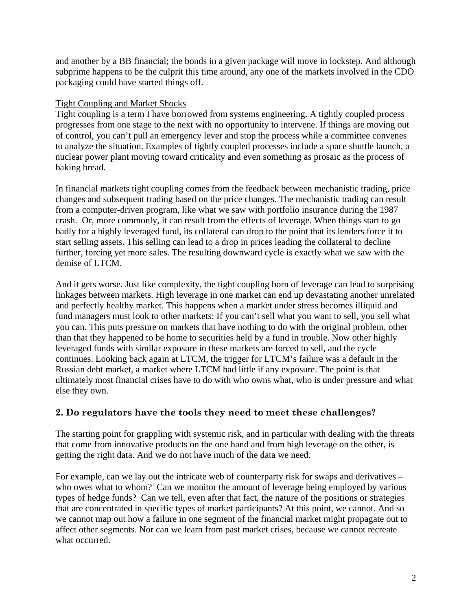and another by a BB financial; the bonds in a given package will move in lockstep. And although subprime happens to be the culprit this time around, any one of the markets involved in the CDO packaging could have started things off.

### Tight Coupling and Market Shocks

Tight coupling is a term I have borrowed from systems engineering. A tightly coupled process progresses from one stage to the next with no opportunity to intervene. If things are moving out of control, you can't pull an emergency lever and stop the process while a committee convenes to analyze the situation. Examples of tightly coupled processes include a space shuttle launch, a nuclear power plant moving toward criticality and even something as prosaic as the process of baking bread.

In financial markets tight coupling comes from the feedback between mechanistic trading, price changes and subsequent trading based on the price changes. The mechanistic trading can result from a computer-driven program, like what we saw with portfolio insurance during the 1987 crash. Or, more commonly, it can result from the effects of leverage. When things start to go badly for a highly leveraged fund, its collateral can drop to the point that its lenders force it to start selling assets. This selling can lead to a drop in prices leading the collateral to decline further, forcing yet more sales. The resulting downward cycle is exactly what we saw with the demise of LTCM.

And it gets worse. Just like complexity, the tight coupling born of leverage can lead to surprising linkages between markets. High leverage in one market can end up devastating another unrelated and perfectly healthy market. This happens when a market under stress becomes illiquid and fund managers must look to other markets: If you can't sell what you want to sell, you sell what you can. This puts pressure on markets that have nothing to do with the original problem, other than that they happened to be home to securities held by a fund in trouble. Now other highly leveraged funds with similar exposure in these markets are forced to sell, and the cycle continues. Looking back again at LTCM, the trigger for LTCM's failure was a default in the Russian debt market, a market where LTCM had little if any exposure. The point is that ultimately most financial crises have to do with who owns what, who is under pressure and what else they own.

## **2. Do regulators have the tools they need to meet these challenges?**

The starting point for grappling with systemic risk, and in particular with dealing with the threats that come from innovative products on the one hand and from high leverage on the other, is getting the right data. And we do not have much of the data we need.

For example, can we lay out the intricate web of counterparty risk for swaps and derivatives – who owes what to whom? Can we monitor the amount of leverage being employed by various types of hedge funds? Can we tell, even after that fact, the nature of the positions or strategies that are concentrated in specific types of market participants? At this point, we cannot. And so we cannot map out how a failure in one segment of the financial market might propagate out to affect other segments. Nor can we learn from past market crises, because we cannot recreate what occurred.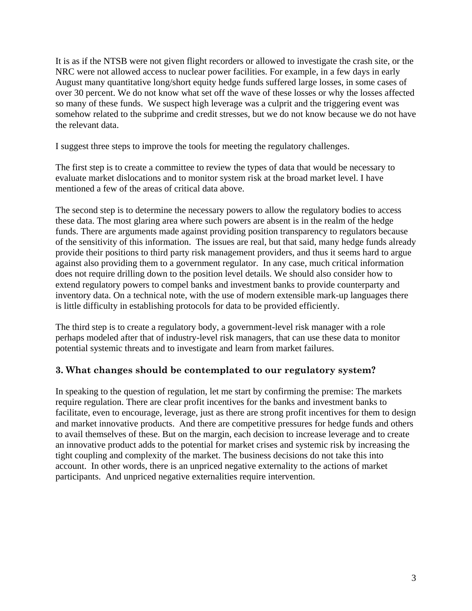It is as if the NTSB were not given flight recorders or allowed to investigate the crash site, or the NRC were not allowed access to nuclear power facilities. For example, in a few days in early August many quantitative long/short equity hedge funds suffered large losses, in some cases of over 30 percent. We do not know what set off the wave of these losses or why the losses affected so many of these funds. We suspect high leverage was a culprit and the triggering event was somehow related to the subprime and credit stresses, but we do not know because we do not have the relevant data.

I suggest three steps to improve the tools for meeting the regulatory challenges.

The first step is to create a committee to review the types of data that would be necessary to evaluate market dislocations and to monitor system risk at the broad market level. I have mentioned a few of the areas of critical data above.

The second step is to determine the necessary powers to allow the regulatory bodies to access these data. The most glaring area where such powers are absent is in the realm of the hedge funds. There are arguments made against providing position transparency to regulators because of the sensitivity of this information. The issues are real, but that said, many hedge funds already provide their positions to third party risk management providers, and thus it seems hard to argue against also providing them to a government regulator. In any case, much critical information does not require drilling down to the position level details. We should also consider how to extend regulatory powers to compel banks and investment banks to provide counterparty and inventory data. On a technical note, with the use of modern extensible mark-up languages there is little difficulty in establishing protocols for data to be provided efficiently.

The third step is to create a regulatory body, a government-level risk manager with a role perhaps modeled after that of industry-level risk managers, that can use these data to monitor potential systemic threats and to investigate and learn from market failures.

#### **3. What changes should be contemplated to our regulatory system?**

In speaking to the question of regulation, let me start by confirming the premise: The markets require regulation. There are clear profit incentives for the banks and investment banks to facilitate, even to encourage, leverage, just as there are strong profit incentives for them to design and market innovative products. And there are competitive pressures for hedge funds and others to avail themselves of these. But on the margin, each decision to increase leverage and to create an innovative product adds to the potential for market crises and systemic risk by increasing the tight coupling and complexity of the market. The business decisions do not take this into account. In other words, there is an unpriced negative externality to the actions of market participants. And unpriced negative externalities require intervention.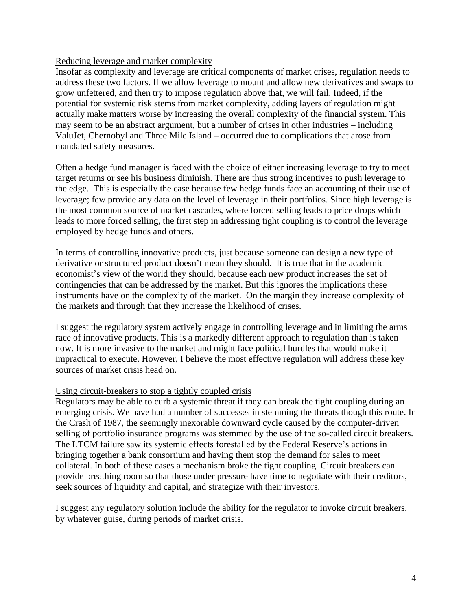#### Reducing leverage and market complexity

Insofar as complexity and leverage are critical components of market crises, regulation needs to address these two factors. If we allow leverage to mount and allow new derivatives and swaps to grow unfettered, and then try to impose regulation above that, we will fail. Indeed, if the potential for systemic risk stems from market complexity, adding layers of regulation might actually make matters worse by increasing the overall complexity of the financial system. This may seem to be an abstract argument, but a number of crises in other industries – including ValuJet, Chernobyl and Three Mile Island – occurred due to complications that arose from mandated safety measures.

Often a hedge fund manager is faced with the choice of either increasing leverage to try to meet target returns or see his business diminish. There are thus strong incentives to push leverage to the edge. This is especially the case because few hedge funds face an accounting of their use of leverage; few provide any data on the level of leverage in their portfolios. Since high leverage is the most common source of market cascades, where forced selling leads to price drops which leads to more forced selling, the first step in addressing tight coupling is to control the leverage employed by hedge funds and others.

In terms of controlling innovative products, just because someone can design a new type of derivative or structured product doesn't mean they should. It is true that in the academic economist's view of the world they should, because each new product increases the set of contingencies that can be addressed by the market. But this ignores the implications these instruments have on the complexity of the market. On the margin they increase complexity of the markets and through that they increase the likelihood of crises.

I suggest the regulatory system actively engage in controlling leverage and in limiting the arms race of innovative products. This is a markedly different approach to regulation than is taken now. It is more invasive to the market and might face political hurdles that would make it impractical to execute. However, I believe the most effective regulation will address these key sources of market crisis head on.

#### Using circuit-breakers to stop a tightly coupled crisis

Regulators may be able to curb a systemic threat if they can break the tight coupling during an emerging crisis. We have had a number of successes in stemming the threats though this route. In the Crash of 1987, the seemingly inexorable downward cycle caused by the computer-driven selling of portfolio insurance programs was stemmed by the use of the so-called circuit breakers. The LTCM failure saw its systemic effects forestalled by the Federal Reserve's actions in bringing together a bank consortium and having them stop the demand for sales to meet collateral. In both of these cases a mechanism broke the tight coupling. Circuit breakers can provide breathing room so that those under pressure have time to negotiate with their creditors, seek sources of liquidity and capital, and strategize with their investors.

I suggest any regulatory solution include the ability for the regulator to invoke circuit breakers, by whatever guise, during periods of market crisis.